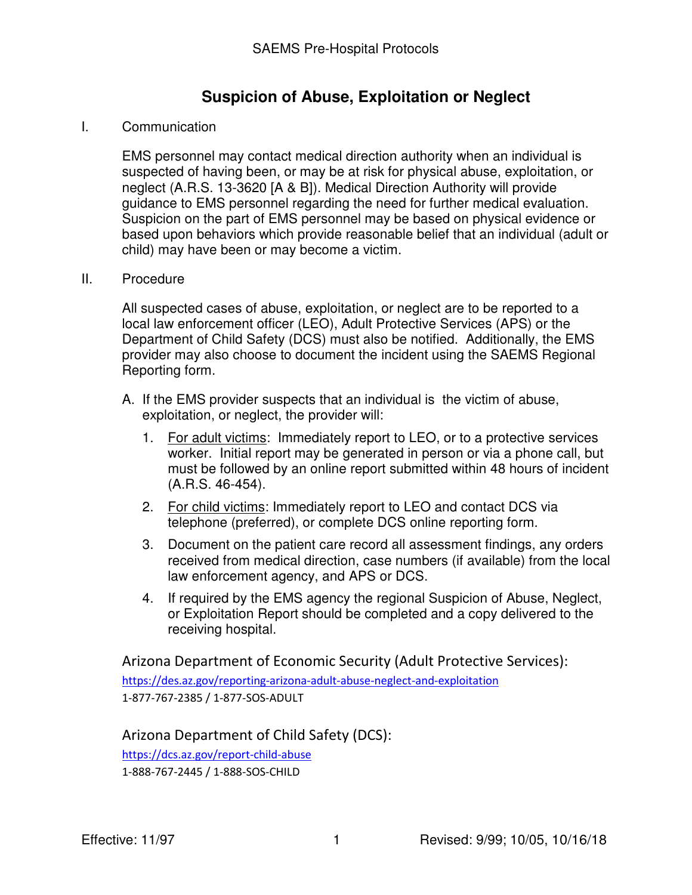## **Suspicion of Abuse, Exploitation or Neglect**

I. Communication

EMS personnel may contact medical direction authority when an individual is suspected of having been, or may be at risk for physical abuse, exploitation, or neglect (A.R.S. 13-3620 [A & B]). Medical Direction Authority will provide guidance to EMS personnel regarding the need for further medical evaluation. Suspicion on the part of EMS personnel may be based on physical evidence or based upon behaviors which provide reasonable belief that an individual (adult or child) may have been or may become a victim.

## II. Procedure

All suspected cases of abuse, exploitation, or neglect are to be reported to a local law enforcement officer (LEO), Adult Protective Services (APS) or the Department of Child Safety (DCS) must also be notified. Additionally, the EMS provider may also choose to document the incident using the SAEMS Regional Reporting form.

- A. If the EMS provider suspects that an individual is the victim of abuse, exploitation, or neglect, the provider will:
	- 1. For adult victims: Immediately report to LEO, or to a protective services worker. Initial report may be generated in person or via a phone call, but must be followed by an online report submitted within 48 hours of incident (A.R.S. 46-454).
	- 2. For child victims: Immediately report to LEO and contact DCS via telephone (preferred), or complete DCS online reporting form.
	- 3. Document on the patient care record all assessment findings, any orders received from medical direction, case numbers (if available) from the local law enforcement agency, and APS or DCS.
	- 4. If required by the EMS agency the regional Suspicion of Abuse, Neglect, or Exploitation Report should be completed and a copy delivered to the receiving hospital.

Arizona Department of Economic Security (Adult Protective Services): https://des.az.gov/reporting-arizona-adult-abuse-neglect-and-exploitation 1-877-767-2385 / 1-877-SOS-ADULT

Arizona Department of Child Safety (DCS): https://dcs.az.gov/report-child-abuse 1-888-767-2445 / 1-888-SOS-CHILD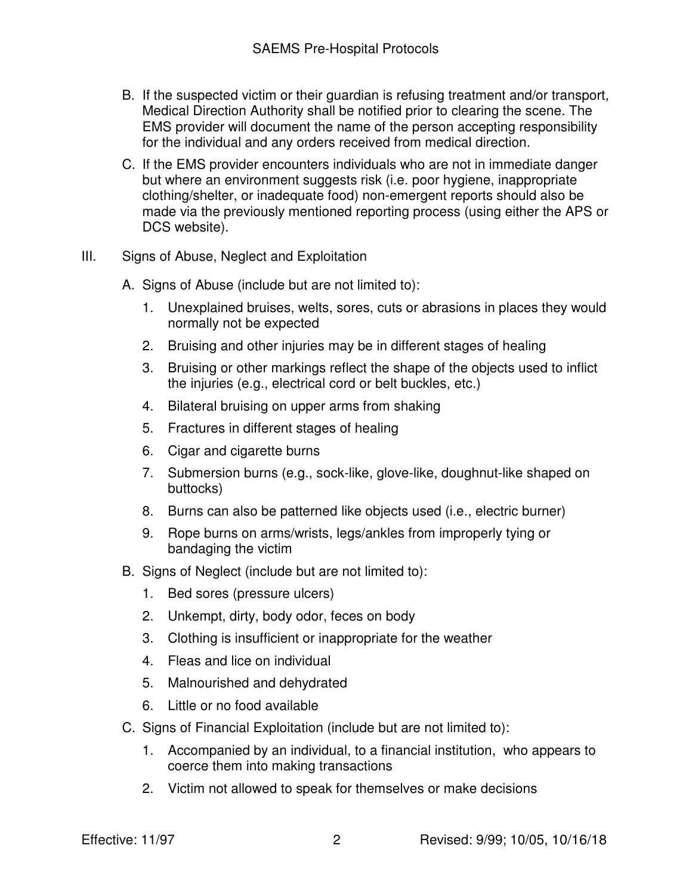- B. If the suspected victim or their guardian is refusing treatment and/or transport, Medical Direction Authority shall be notified prior to clearing the scene. The EMS provider will document the name of the person accepting responsibility for the individual and any orders received from medical direction.
- C. If the EMS provider encounters individuals who are not in immediate danger but where an environment suggests risk (i.e. poor hygiene, inappropriate clothing/shelter, or inadequate food) non-emergent reports should also be made via the previously mentioned reporting process (using either the APS or DCS website).
- III. Signs of Abuse, Neglect and Exploitation
	- A. Signs of Abuse (include but are not limited to):
		- 1. Unexplained bruises, welts, sores, cuts or abrasions in places they would normally not be expected
		- 2. Bruising and other injuries may be in different stages of healing
		- 3. Bruising or other markings reflect the shape of the objects used to inflict the injuries (e.g., electrical cord or belt buckles, etc.)
		- 4. Bilateral bruising on upper arms from shaking
		- 5. Fractures in different stages of healing
		- 6. Cigar and cigarette burns
		- 7. Submersion burns (e.g., sock-like, glove-like, doughnut-like shaped on buttocks)
		- 8. Burns can also be patterned like objects used (i.e., electric burner)
		- 9. Rope burns on arms/wrists, legs/ankles from improperly tying or bandaging the victim
	- B. Signs of Neglect (include but are not limited to):
		- 1. Bed sores (pressure ulcers)
		- 2. Unkempt, dirty, body odor, feces on body
		- 3. Clothing is insufficient or inappropriate for the weather
		- 4. Fleas and lice on individual
		- 5. Malnourished and dehydrated
		- 6. Little or no food available
	- C. Signs of Financial Exploitation (include but are not limited to):
		- 1. Accompanied by an individual, to a financial institution, who appears to coerce them into making transactions
		- 2. Victim not allowed to speak for themselves or make decisions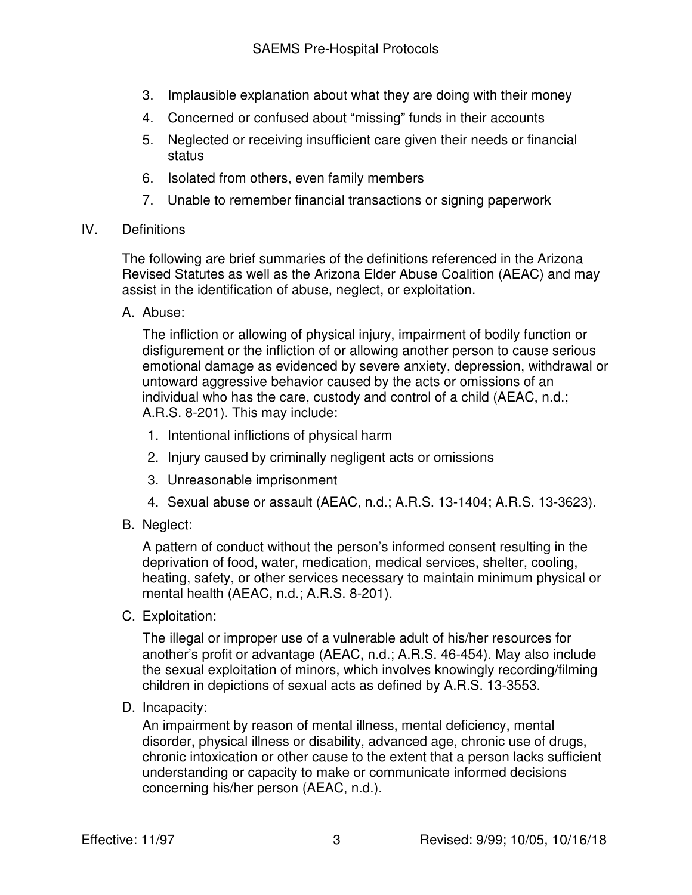- 3. Implausible explanation about what they are doing with their money
- 4. Concerned or confused about "missing" funds in their accounts
- 5. Neglected or receiving insufficient care given their needs or financial status
- 6. Isolated from others, even family members
- 7. Unable to remember financial transactions or signing paperwork
- IV. Definitions

The following are brief summaries of the definitions referenced in the Arizona Revised Statutes as well as the Arizona Elder Abuse Coalition (AEAC) and may assist in the identification of abuse, neglect, or exploitation.

A. Abuse:

The infliction or allowing of physical injury, impairment of bodily function or disfigurement or the infliction of or allowing another person to cause serious emotional damage as evidenced by severe anxiety, depression, withdrawal or untoward aggressive behavior caused by the acts or omissions of an individual who has the care, custody and control of a child (AEAC, n.d.; A.R.S. 8-201). This may include:

- 1. Intentional inflictions of physical harm
- 2. Injury caused by criminally negligent acts or omissions
- 3. Unreasonable imprisonment
- 4. Sexual abuse or assault (AEAC, n.d.; A.R.S. 13-1404; A.R.S. 13-3623).
- B. Neglect:

A pattern of conduct without the person's informed consent resulting in the deprivation of food, water, medication, medical services, shelter, cooling, heating, safety, or other services necessary to maintain minimum physical or mental health (AEAC, n.d.; A.R.S. 8-201).

C. Exploitation:

The illegal or improper use of a vulnerable adult of his/her resources for another's profit or advantage (AEAC, n.d.; A.R.S. 46-454). May also include the sexual exploitation of minors, which involves knowingly recording/filming children in depictions of sexual acts as defined by A.R.S. 13-3553.

D. Incapacity:

An impairment by reason of mental illness, mental deficiency, mental disorder, physical illness or disability, advanced age, chronic use of drugs, chronic intoxication or other cause to the extent that a person lacks sufficient understanding or capacity to make or communicate informed decisions concerning his/her person (AEAC, n.d.).